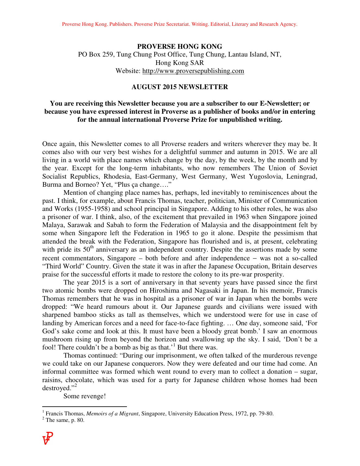#### **PROVERSE HONG KONG**

PO Box 259, Tung Chung Post Office, Tung Chung, Lantau Island, NT, Hong Kong SAR Website: http://www.proversepublishing.com

## **AUGUST 2015 NEWSLETTER**

### **You are receiving this Newsletter because you are a subscriber to our E-Newsletter; or because you have expressed interest in Proverse as a publisher of books and/or in entering for the annual international Proverse Prize for unpublished writing.**

Once again, this Newsletter comes to all Proverse readers and writers wherever they may be. It comes also with our very best wishes for a delightful summer and autumn in 2015. We are all living in a world with place names which change by the day, by the week, by the month and by the year. Except for the long-term inhabitants, who now remembers The Union of Soviet Socialist Republics, Rhodesia, East-Germany, West Germany, West Yugoslovia, Leningrad, Burma and Borneo? Yet, "Plus ça change…."

 Mention of changing place names has, perhaps, led inevitably to reminiscences about the past. I think, for example, about Francis Thomas, teacher, politician, Minister of Communication and Works (1955-1958) and school principal in Singapore. Adding to his other roles, he was also a prisoner of war. I think, also, of the excitement that prevailed in 1963 when Singapore joined Malaya, Sarawak and Sabah to form the Federation of Malaysia and the disappointment felt by some when Singapore left the Federation in 1965 to go it alone. Despite the pessimism that attended the break with the Federation, Singapore has flourished and is, at present, celebrating with pride its 50<sup>th</sup> anniversary as an independent country. Despite the assertions made by some recent commentators, Singapore – both before and after independence − was not a so-called "Third World" Country. Given the state it was in after the Japanese Occupation, Britain deserves praise for the successful efforts it made to restore the colony to its pre-war prosperity.

 The year 2015 is a sort of anniversary in that seventy years have passed since the first two atomic bombs were dropped on Hiroshima and Nagasaki in Japan. In his memoir, Francis Thomas remembers that he was in hospital as a prisoner of war in Japan when the bombs were dropped: "We heard rumours about it. Our Japanese guards and civilians were issued with sharpened bamboo sticks as tall as themselves, which we understood were for use in case of landing by American forces and a need for face-to-face fighting. … One day, someone said, 'For God's sake come and look at this. It must have been a bloody great bomb.' I saw an enormous mushroom rising up from beyond the horizon and swallowing up the sky. I said, 'Don't be a fool! There couldn't be a bomb as big as that.<sup>1</sup> But there was.

 Thomas continued: "During our imprisonment, we often talked of the murderous revenge we could take on our Japanese conquerors. Now they were defeated and our time had come. An informal committee was formed which went round to every man to collect a donation – sugar, raisins, chocolate, which was used for a party for Japanese children whose homes had been destroyed."<sup>2</sup>

Some revenge!

 1 Francis Thomas, *Memoirs of a Migrant*, Singapore, University Education Press, 1972, pp. 79-80.

 $2$  The same, p. 80.